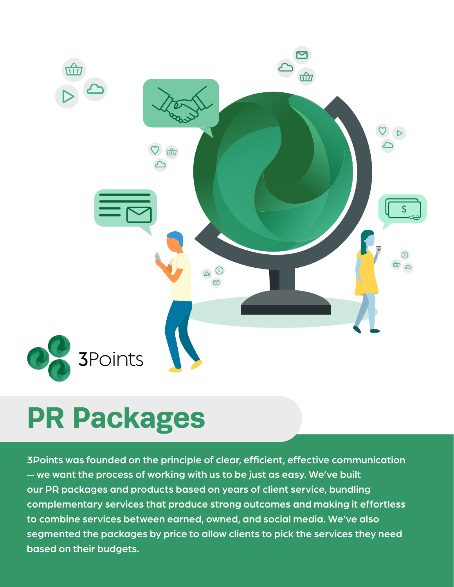

# **PR Packages**

3Points was founded on the principle of clear, efficient, effective communication — we want the process of working with us to be just as easy. We've built our PR packages and products based on years of client service, bundling complementary services that produce strong outcomes and making it effortless to combine services between earned, owned, and social media. We've also segmented the packages by price to allow clients to pick the services they need based on their budgets.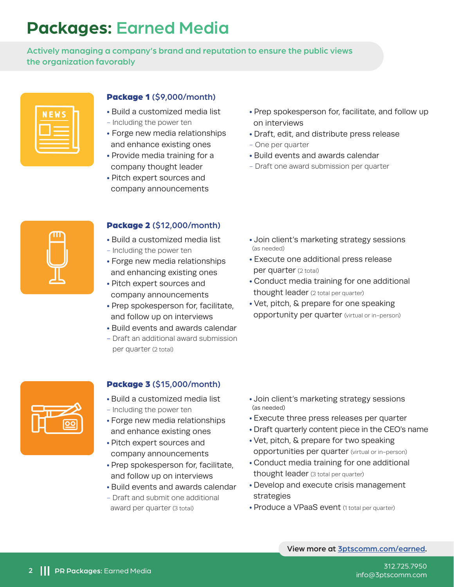# **Packages:** Earned Media

Actively managing a company's brand and reputation to ensure the public views the organization favorably

| <b>NEWS</b> |                                   |  |
|-------------|-----------------------------------|--|
|             | the control of the control of the |  |
|             |                                   |  |
|             |                                   |  |
|             |                                   |  |

#### Package 1 (\$9,000/month)

- Build a customized media list
- Including the power ten
- Forge new media relationships and enhance existing ones
- Provide media training for a company thought leader
- Pitch expert sources and company announcements
- 

#### Package 2 (\$12,000/month)

- Build a customized media list
- Including the power ten
- Forge new media relationships and enhancing existing ones
- Pitch expert sources and company announcements
- Prep spokesperson for, facilitate, and follow up on interviews
- Build events and awards calendar
- Draft an additional award submission per quarter (2 total)
- 

#### Package 3 (\$15,000/month)

- Build a customized media list - Including the power ten
- Forge new media relationships and enhance existing ones
- Pitch expert sources and company announcements
- Prep spokesperson for, facilitate, and follow up on interviews
- Build events and awards calendar
- Draft and submit one additional award per quarter (3 total)
- Prep spokesperson for, facilitate, and follow up on interviews
- Draft, edit, and distribute press release
- One per quarter
- Build events and awards calendar
- Draft one award submission per quarter

- Join client's marketing strategy sessions (as needed)
- Execute one additional press release per quarter (2 total)
- Conduct media training for one additional thought leader (2 total per quarter)
- Vet, pitch, & prepare for one speaking opportunity per quarter (virtual or in-person)

- Join client's marketing strategy sessions (as needed)
- Execute three press releases per quarter
- Draft quarterly content piece in the CEO's name
- Vet, pitch, & prepare for two speaking opportunities per quarter (virtual or in-person)
- Conduct media training for one additional thought leader (3 total per quarter)
- Develop and execute crisis management strategies
- Produce a VPaaS event (1 total per quarter)

View more at [3ptscomm.com/earned.](http://3ptscomm.com/earned-media-pr)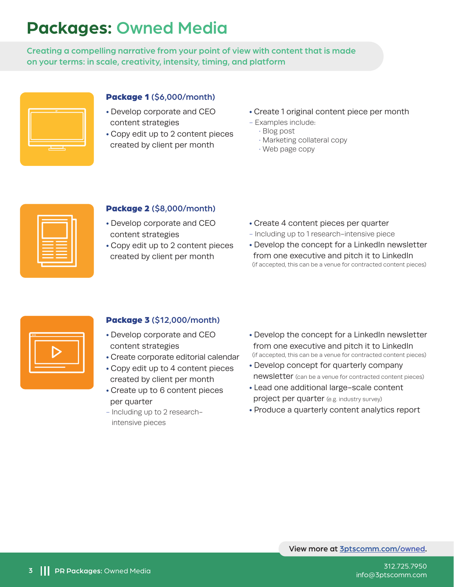# **Packages:** Owned Media

Creating a compelling narrative from your point of view with content that is made on your terms: in scale, creativity, intensity, timing, and platform



#### Package 1 (\$6,000/month)

- Develop corporate and CEO content strategies
- Copy edit up to 2 content pieces created by client per month
- Create 1 original content piece per month
- Examples include:
	- Blog post
	- Marketing collateral copy
	- Web page copy

| the control of the control of the control of                         |  |
|----------------------------------------------------------------------|--|
|                                                                      |  |
| $\sim$<br>__                                                         |  |
| ___<br>$\sim$<br>the contract of the contract of<br>$\sim$<br>$\sim$ |  |
| $\overline{\phantom{a}}$<br><b>Contract Contract Contract</b><br>___ |  |
|                                                                      |  |
|                                                                      |  |

#### Package 2 (\$8,000/month)

- Develop corporate and CEO content strategies
- Copy edit up to 2 content pieces created by client per month
- Create 4 content pieces per quarter
- Including up to 1 research-intensive piece
- Develop the concept for a LinkedIn newsletter from one executive and pitch it to LinkedIn (if accepted, this can be a venue for contracted content pieces)



#### Package 3 (\$12,000/month)

- Develop corporate and CEO content strategies
- Create corporate editorial calendar
- Copy edit up to 4 content pieces created by client per month
- Create up to 6 content pieces per quarter
- Including up to 2 research intensive pieces
- Develop the concept for a LinkedIn newsletter from one executive and pitch it to LinkedIn (if accepted, this can be a venue for contracted content pieces)
- Develop concept for quarterly company newsletter (can be a venue for contracted content pieces)
- Lead one additional large-scale content project per quarter (e.g. industry survey)
- Produce a quarterly content analytics report

View more at [3ptscomm.com/](https://www.3ptscomm.com/owned-media-pr)owned.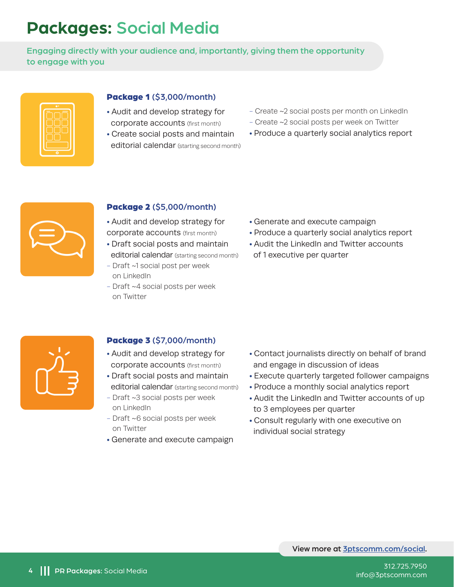# **Packages:** Social Media

Engaging directly with your audience and, importantly, giving them the opportunity to engage with you

| $\bullet$<br>- |
|----------------|
| $\circ$        |

#### Package 1 (\$3,000/month)

- Audit and develop strategy for corporate accounts (first month)
- Create social posts and maintain editorial calendar (starting second month)
- Create ~2 social posts per month on LinkedIn
- Create ~2 social posts per week on Twitter
- Produce a quarterly social analytics report



#### Package 2 (\$5,000/month)

- Audit and develop strategy for corporate accounts (first month)
- Draft social posts and maintain editorial calendar (starting second month)
- Draft ~1 social post per week on LinkedIn
- Draft ~4 social posts per week on Twitter
- Generate and execute campaign
- Produce a quarterly social analytics report
- Audit the LinkedIn and Twitter accounts of 1 executive per quarter



#### Package 3 (\$7,000/month)

- Audit and develop strategy for corporate accounts (first month)
- Draft social posts and maintain editorial calendar (starting second month)
- Draft ~3 social posts per week on LinkedIn
- Draft ~6 social posts per week on Twitter
- Generate and execute campaign
- Contact journalists directly on behalf of brand and engage in discussion of ideas
- Execute quarterly targeted follower campaigns
- Produce a monthly social analytics report
- Audit the LinkedIn and Twitter accounts of up to 3 employees per quarter
- Consult regularly with one executive on individual social strategy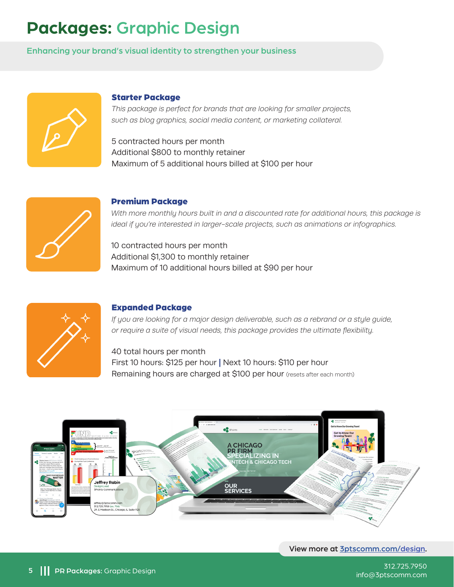# **Packages:** Graphic Design

Enhancing your brand's visual identity to strengthen your business



#### Starter Package

*This package is perfect for brands that are looking for smaller projects, such as blog graphics, social media content, or marketing collateral.*

5 contracted hours per month Additional \$800 to monthly retainer Maximum of 5 additional hours billed at \$100 per hour



#### Premium Package

*With more monthly hours built in and a discounted rate for additional hours, this package is ideal if you're interested in larger-scale projects, such as animations or infographics.*

10 contracted hours per month Additional \$1,300 to monthly retainer Maximum of 10 additional hours billed at \$90 per hour



#### Expanded Package

*If you are looking for a major design deliverable, such as a rebrand or a style guide, or require a suite of visual needs, this package provides the ultimate flexibility.*

40 total hours per month First 10 hours: \$125 per hour | Next 10 hours: \$110 per hour Remaining hours are charged at \$100 per hour (resets after each month)



View more at [3ptscomm.com/](https://www.3ptscomm.com/design)design.

312.725.7950 info@3ptscomm.com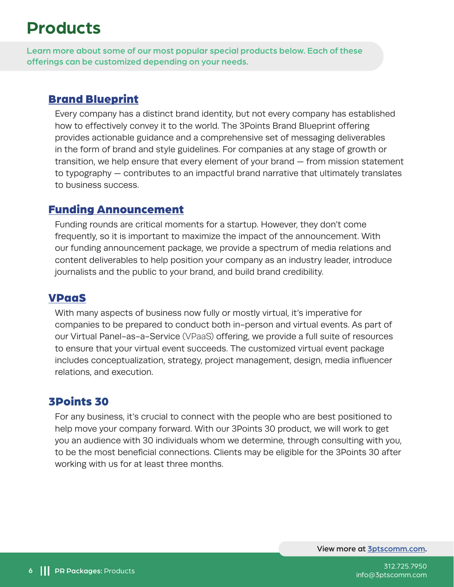# **Products**

Learn more about some of our most popular special products below. Each of these offerings can be customized depending on your needs.

### [Brand Blueprint](https://www.3ptscomm.com/brand-blueprint)

Every company has a distinct brand identity, but not every company has established how to effectively convey it to the world. The 3Points Brand Blueprint offering provides actionable guidance and a comprehensive set of messaging deliverables in the form of brand and style guidelines. For companies at any stage of growth or transition, we help ensure that every element of your brand — from mission statement to typography — contributes to an impactful brand narrative that ultimately translates to business success.

### [Funding Announcement](https://www.3ptscomm.com/funding-announcement)

Funding rounds are critical moments for a startup. However, they don't come frequently, so it is important to maximize the impact of the announcement. With our funding announcement package, we provide a spectrum of media relations and content deliverables to help position your company as an industry leader, introduce journalists and the public to your brand, and build brand credibility.

### [VPaaS](https://www.3ptscomm.com/vpaas)

With many aspects of business now fully or mostly virtual, it's imperative for companies to be prepared to conduct both in-person and virtual events. As part of our Virtual Panel-as-a-Service (VPaaS) offering, we provide a full suite of resources to ensure that your virtual event succeeds. The customized virtual event package includes conceptualization, strategy, project management, design, media influencer relations, and execution.

### 3Points 30

For any business, it's crucial to connect with the people who are best positioned to help move your company forward. With our 3Points 30 product, we will work to get you an audience with 30 individuals whom we determine, through consulting with you, to be the most beneficial connections. Clients may be eligible for the 3Points 30 after working with us for at least three months.

View more at [3ptscomm.com.](https://www.3ptscomm.com)